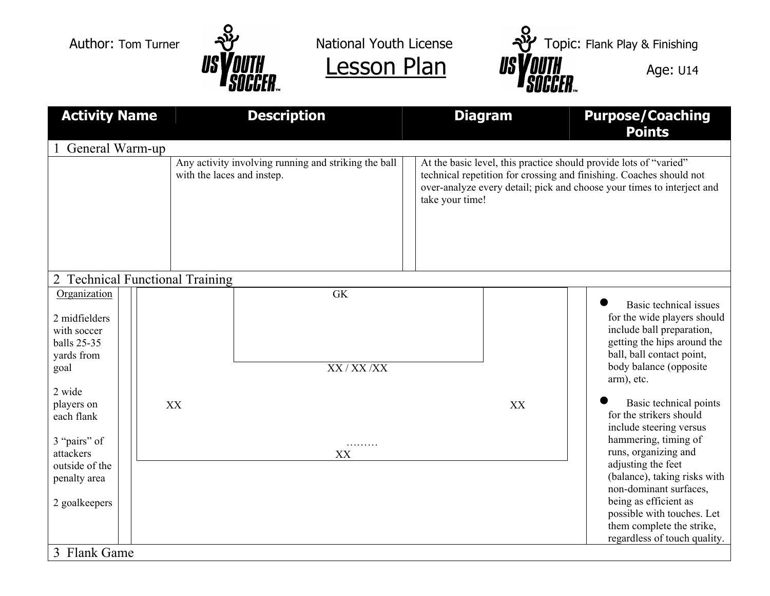



| <b>Activity Name</b>                                                                                                                    |    | <b>Description</b>                                                                 |                           | <b>Diagram</b>                                                                                                                                                                                                                        |    | <b>Purpose/Coaching</b><br><b>Points</b>                                                                                                                                                                                                                                                        |  |  |  |  |  |
|-----------------------------------------------------------------------------------------------------------------------------------------|----|------------------------------------------------------------------------------------|---------------------------|---------------------------------------------------------------------------------------------------------------------------------------------------------------------------------------------------------------------------------------|----|-------------------------------------------------------------------------------------------------------------------------------------------------------------------------------------------------------------------------------------------------------------------------------------------------|--|--|--|--|--|
| General Warm-up                                                                                                                         |    |                                                                                    |                           |                                                                                                                                                                                                                                       |    |                                                                                                                                                                                                                                                                                                 |  |  |  |  |  |
|                                                                                                                                         |    | Any activity involving running and striking the ball<br>with the laces and instep. |                           | At the basic level, this practice should provide lots of "varied"<br>technical repetition for crossing and finishing. Coaches should not<br>over-analyze every detail; pick and choose your times to interject and<br>take your time! |    |                                                                                                                                                                                                                                                                                                 |  |  |  |  |  |
| 2 Technical Functional Training                                                                                                         |    |                                                                                    |                           |                                                                                                                                                                                                                                       |    |                                                                                                                                                                                                                                                                                                 |  |  |  |  |  |
| Organization<br>2 midfielders<br>with soccer<br>balls 25-35<br>yards from<br>goal<br>2 wide<br>players on<br>each flank<br>3 "pairs" of | XX |                                                                                    | <b>GK</b><br>XX / XX / XX |                                                                                                                                                                                                                                       | XX | Basic technical issues<br>for the wide players should<br>include ball preparation,<br>getting the hips around the<br>ball, ball contact point,<br>body balance (opposite)<br>arm), etc.<br>Basic technical points<br>for the strikers should<br>include steering versus<br>hammering, timing of |  |  |  |  |  |
| attackers<br>outside of the<br>penalty area<br>2 goalkeepers                                                                            |    |                                                                                    | .<br>XX                   |                                                                                                                                                                                                                                       |    | runs, organizing and<br>adjusting the feet<br>(balance), taking risks with<br>non-dominant surfaces,<br>being as efficient as<br>possible with touches. Let<br>them complete the strike,<br>regardless of touch quality.                                                                        |  |  |  |  |  |
| 3 Flank Game                                                                                                                            |    |                                                                                    |                           |                                                                                                                                                                                                                                       |    |                                                                                                                                                                                                                                                                                                 |  |  |  |  |  |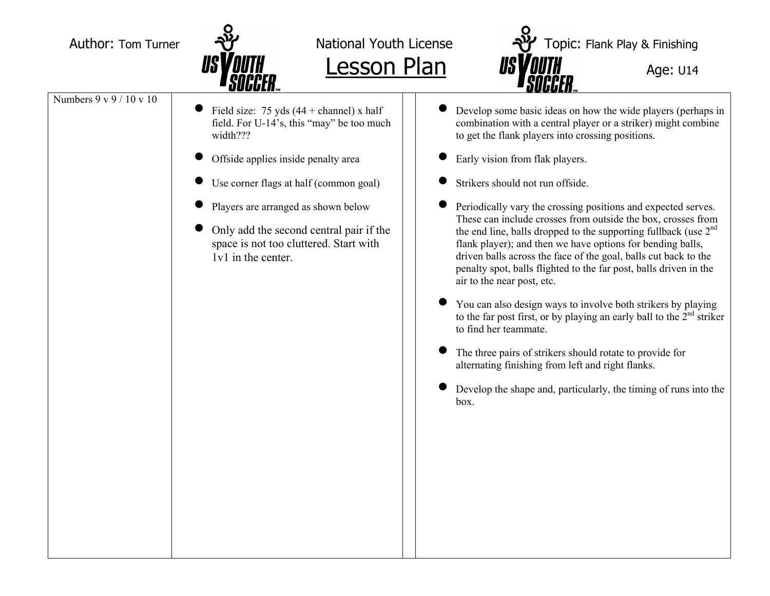

Author: Tom Turner  $\frac{1}{2}$  National Youth License  $\frac{1}{2}$  Topic: Flank Play & Finishing **Lesson Plan Age: U14 Age: U14** 

Numbers 9 v 9 / 10 v 10

- •Field size:  $75 \text{ yds} (44 + \text{channel}) \times \text{half}$ field. For U-14's, this "may" be too much width???
- •Offside applies inside penalty area
- Use corner flags at half (common goal)
- •Players are arranged as shown below
- Only add the second central pair if the space is not too cluttered. Start with 1v1 in the center.
- • Develop some basic ideas on how the wide players (perhaps in combination with a central player or a striker) might combine to get the flank players into crossing positions.
- •Early vision from flak players.
- •Strikers should not run offside.
- • Periodically vary the crossing positions and expected serves. These can include crosses from outside the box, crosses from the end line, balls dropped to the supporting fullback (use 2<sup>nd</sup>) flank player); and then we have options for bending balls, driven balls across the face of the goal, balls cut back to the penalty spot, balls flighted to the far post, balls driven in the air to the near post, etc.
- • You can also design ways to involve both strikers by playing to the far post first, or by playing an early ball to the  $2<sup>nd</sup>$  striker to find her teammate.
- • The three pairs of strikers should rotate to provide for alternating finishing from left and right flanks.
- • Develop the shape and, particularly, the timing of runs into the box.